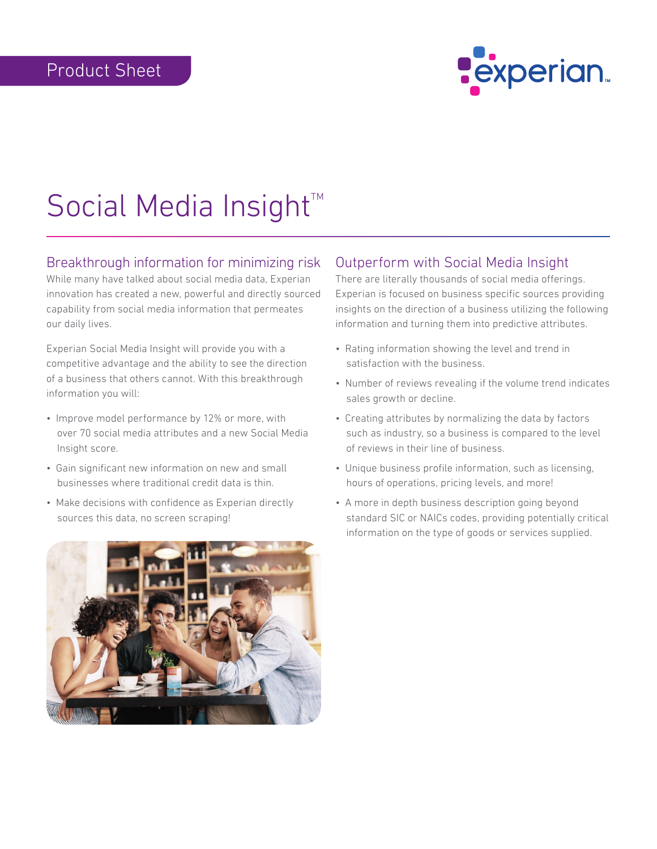

# Social Media Insight<sup>™</sup>

# Breakthrough information for minimizing risk

While many have talked about social media data, Experian innovation has created a new, powerful and directly sourced capability from social media information that permeates our daily lives.

Experian Social Media Insight will provide you with a competitive advantage and the ability to see the direction of a business that others cannot. With this breakthrough information you will:

- Improve model performance by 12% or more, with over 70 social media attributes and a new Social Media Insight score.
- Gain significant new information on new and small businesses where traditional credit data is thin.
- Make decisions with confidence as Experian directly sources this data, no screen scraping!



# Outperform with Social Media Insight

There are literally thousands of social media offerings. Experian is focused on business specific sources providing insights on the direction of a business utilizing the following information and turning them into predictive attributes.

- Rating information showing the level and trend in satisfaction with the business.
- Number of reviews revealing if the volume trend indicates sales growth or decline.
- Creating attributes by normalizing the data by factors such as industry, so a business is compared to the level of reviews in their line of business.
- Unique business profile information, such as licensing, hours of operations, pricing levels, and more!
- A more in depth business description going beyond standard SIC or NAICs codes, providing potentially critical information on the type of goods or services supplied.